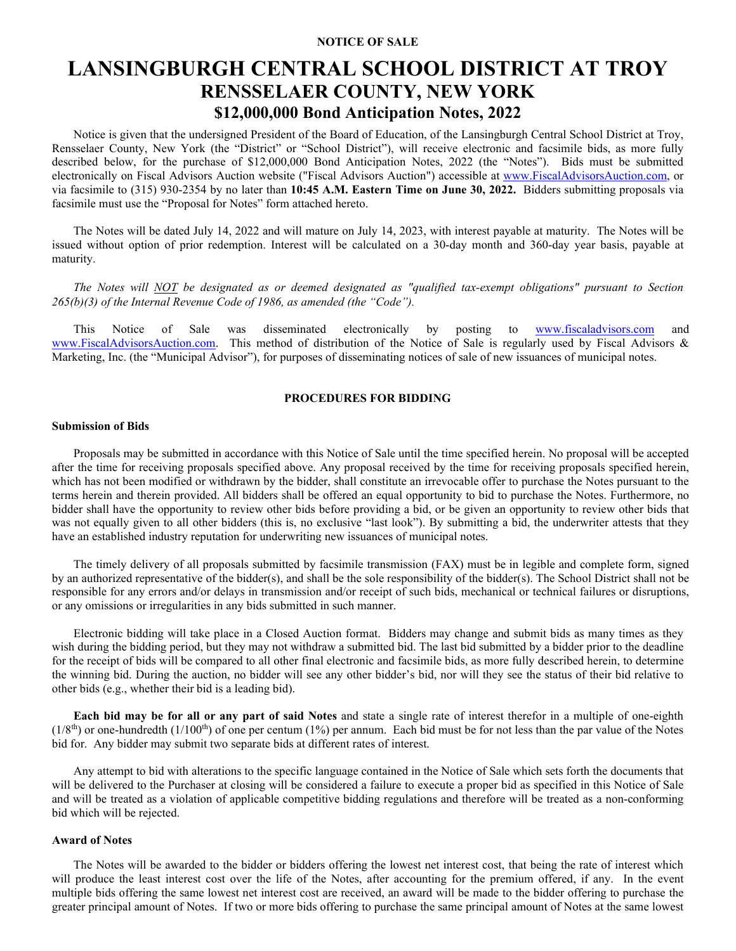# **NOTICE OF SALE**

# **LANSINGBURGH CENTRAL SCHOOL DISTRICT AT TROY RENSSELAER COUNTY, NEW YORK \$12,000,000 Bond Anticipation Notes, 2022**

Notice is given that the undersigned President of the Board of Education, of the Lansingburgh Central School District at Troy, Rensselaer County, New York (the "District" or "School District"), will receive electronic and facsimile bids, as more fully described below, for the purchase of \$12,000,000 Bond Anticipation Notes, 2022 (the "Notes"). Bids must be submitted electronically on Fiscal Advisors Auction website ("Fiscal Advisors Auction") accessible at [www.FiscalAdvisorsAuction.com,](http://www.fiscaladvisorsauction.com/) or via facsimile to (315) 930-2354 by no later than **10:45 A.M. Eastern Time on June 30, 2022.** Bidders submitting proposals via facsimile must use the "Proposal for Notes" form attached hereto.

The Notes will be dated July 14, 2022 and will mature on July 14, 2023, with interest payable at maturity. The Notes will be issued without option of prior redemption. Interest will be calculated on a 30-day month and 360-day year basis, payable at maturity.

*The Notes will NOT be designated as or deemed designated as "qualified tax-exempt obligations" pursuant to Section 265(b)(3) of the Internal Revenue Code of 1986, as amended (the "Code").*

This Notice of Sale was disseminated electronically by posting to [www.fiscaladvisors.com](http://www.fiscaladvisors.com/) and [www.FiscalAdvisorsAuction.com.](http://www.fiscaladvisorsauction.com/) This method of distribution of the Notice of Sale is regularly used by Fiscal Advisors & Marketing, Inc. (the "Municipal Advisor"), for purposes of disseminating notices of sale of new issuances of municipal notes.

# **PROCEDURES FOR BIDDING**

### **Submission of Bids**

Proposals may be submitted in accordance with this Notice of Sale until the time specified herein. No proposal will be accepted after the time for receiving proposals specified above. Any proposal received by the time for receiving proposals specified herein, which has not been modified or withdrawn by the bidder, shall constitute an irrevocable offer to purchase the Notes pursuant to the terms herein and therein provided. All bidders shall be offered an equal opportunity to bid to purchase the Notes. Furthermore, no bidder shall have the opportunity to review other bids before providing a bid, or be given an opportunity to review other bids that was not equally given to all other bidders (this is, no exclusive "last look"). By submitting a bid, the underwriter attests that they have an established industry reputation for underwriting new issuances of municipal notes.

The timely delivery of all proposals submitted by facsimile transmission (FAX) must be in legible and complete form, signed by an authorized representative of the bidder(s), and shall be the sole responsibility of the bidder(s). The School District shall not be responsible for any errors and/or delays in transmission and/or receipt of such bids, mechanical or technical failures or disruptions, or any omissions or irregularities in any bids submitted in such manner.

Electronic bidding will take place in a Closed Auction format. Bidders may change and submit bids as many times as they wish during the bidding period, but they may not withdraw a submitted bid. The last bid submitted by a bidder prior to the deadline for the receipt of bids will be compared to all other final electronic and facsimile bids, as more fully described herein, to determine the winning bid. During the auction, no bidder will see any other bidder's bid, nor will they see the status of their bid relative to other bids (e.g., whether their bid is a leading bid).

**Each bid may be for all or any part of said Notes** and state a single rate of interest therefor in a multiple of one-eighth  $(1/8<sup>th</sup>)$  or one-hundredth  $(1/100<sup>th</sup>)$  of one per centum  $(1%)$  per annum. Each bid must be for not less than the par value of the Notes bid for. Any bidder may submit two separate bids at different rates of interest.

Any attempt to bid with alterations to the specific language contained in the Notice of Sale which sets forth the documents that will be delivered to the Purchaser at closing will be considered a failure to execute a proper bid as specified in this Notice of Sale and will be treated as a violation of applicable competitive bidding regulations and therefore will be treated as a non-conforming bid which will be rejected.

# **Award of Notes**

The Notes will be awarded to the bidder or bidders offering the lowest net interest cost, that being the rate of interest which will produce the least interest cost over the life of the Notes, after accounting for the premium offered, if any. In the event multiple bids offering the same lowest net interest cost are received, an award will be made to the bidder offering to purchase the greater principal amount of Notes. If two or more bids offering to purchase the same principal amount of Notes at the same lowest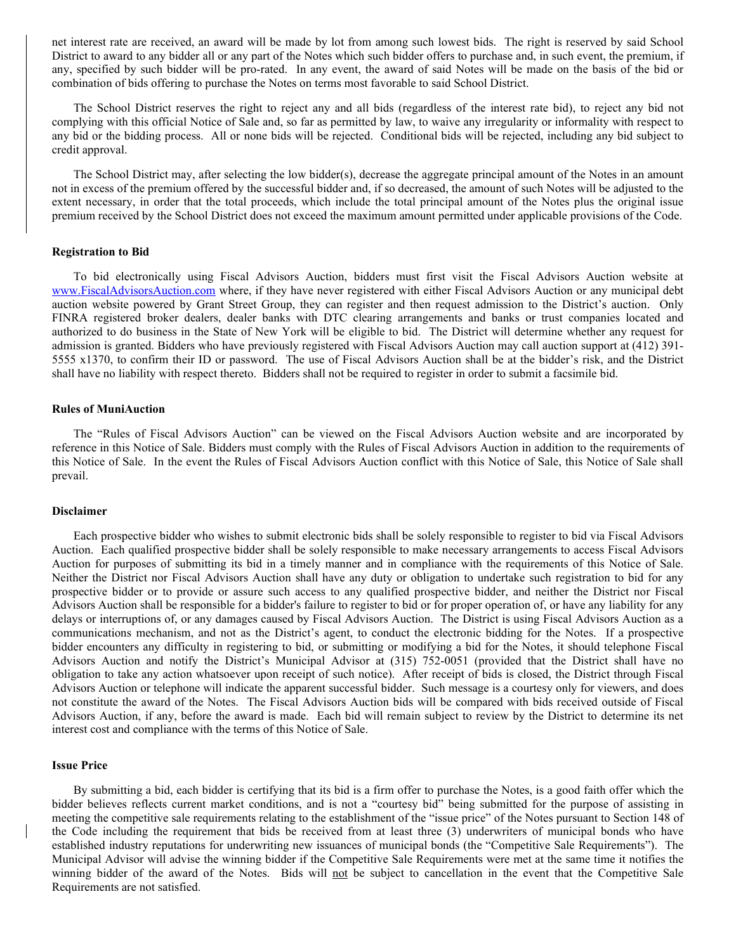net interest rate are received, an award will be made by lot from among such lowest bids. The right is reserved by said School District to award to any bidder all or any part of the Notes which such bidder offers to purchase and, in such event, the premium, if any, specified by such bidder will be pro-rated. In any event, the award of said Notes will be made on the basis of the bid or combination of bids offering to purchase the Notes on terms most favorable to said School District.

The School District reserves the right to reject any and all bids (regardless of the interest rate bid), to reject any bid not complying with this official Notice of Sale and, so far as permitted by law, to waive any irregularity or informality with respect to any bid or the bidding process. All or none bids will be rejected. Conditional bids will be rejected, including any bid subject to credit approval.

The School District may, after selecting the low bidder(s), decrease the aggregate principal amount of the Notes in an amount not in excess of the premium offered by the successful bidder and, if so decreased, the amount of such Notes will be adjusted to the extent necessary, in order that the total proceeds, which include the total principal amount of the Notes plus the original issue premium received by the School District does not exceed the maximum amount permitted under applicable provisions of the Code.

#### **Registration to Bid**

To bid electronically using Fiscal Advisors Auction, bidders must first visit the Fiscal Advisors Auction website at [www.FiscalAdvisorsAuction.com](http://www.fiscaladvisorsauction.com/) where, if they have never registered with either Fiscal Advisors Auction or any municipal debt auction website powered by Grant Street Group, they can register and then request admission to the District's auction. Only FINRA registered broker dealers, dealer banks with DTC clearing arrangements and banks or trust companies located and authorized to do business in the State of New York will be eligible to bid. The District will determine whether any request for admission is granted. Bidders who have previously registered with Fiscal Advisors Auction may call auction support at (412) 391- 5555 x1370, to confirm their ID or password. The use of Fiscal Advisors Auction shall be at the bidder's risk, and the District shall have no liability with respect thereto. Bidders shall not be required to register in order to submit a facsimile bid.

# **Rules of MuniAuction**

The "Rules of Fiscal Advisors Auction" can be viewed on the Fiscal Advisors Auction website and are incorporated by reference in this Notice of Sale. Bidders must comply with the Rules of Fiscal Advisors Auction in addition to the requirements of this Notice of Sale. In the event the Rules of Fiscal Advisors Auction conflict with this Notice of Sale, this Notice of Sale shall prevail.

# **Disclaimer**

Each prospective bidder who wishes to submit electronic bids shall be solely responsible to register to bid via Fiscal Advisors Auction. Each qualified prospective bidder shall be solely responsible to make necessary arrangements to access Fiscal Advisors Auction for purposes of submitting its bid in a timely manner and in compliance with the requirements of this Notice of Sale. Neither the District nor Fiscal Advisors Auction shall have any duty or obligation to undertake such registration to bid for any prospective bidder or to provide or assure such access to any qualified prospective bidder, and neither the District nor Fiscal Advisors Auction shall be responsible for a bidder's failure to register to bid or for proper operation of, or have any liability for any delays or interruptions of, or any damages caused by Fiscal Advisors Auction. The District is using Fiscal Advisors Auction as a communications mechanism, and not as the District's agent, to conduct the electronic bidding for the Notes. If a prospective bidder encounters any difficulty in registering to bid, or submitting or modifying a bid for the Notes, it should telephone Fiscal Advisors Auction and notify the District's Municipal Advisor at (315) 752-0051 (provided that the District shall have no obligation to take any action whatsoever upon receipt of such notice). After receipt of bids is closed, the District through Fiscal Advisors Auction or telephone will indicate the apparent successful bidder. Such message is a courtesy only for viewers, and does not constitute the award of the Notes. The Fiscal Advisors Auction bids will be compared with bids received outside of Fiscal Advisors Auction, if any, before the award is made. Each bid will remain subject to review by the District to determine its net interest cost and compliance with the terms of this Notice of Sale.

### **Issue Price**

By submitting a bid, each bidder is certifying that its bid is a firm offer to purchase the Notes, is a good faith offer which the bidder believes reflects current market conditions, and is not a "courtesy bid" being submitted for the purpose of assisting in meeting the competitive sale requirements relating to the establishment of the "issue price" of the Notes pursuant to Section 148 of the Code including the requirement that bids be received from at least three (3) underwriters of municipal bonds who have established industry reputations for underwriting new issuances of municipal bonds (the "Competitive Sale Requirements"). The Municipal Advisor will advise the winning bidder if the Competitive Sale Requirements were met at the same time it notifies the winning bidder of the award of the Notes. Bids will not be subject to cancellation in the event that the Competitive Sale Requirements are not satisfied.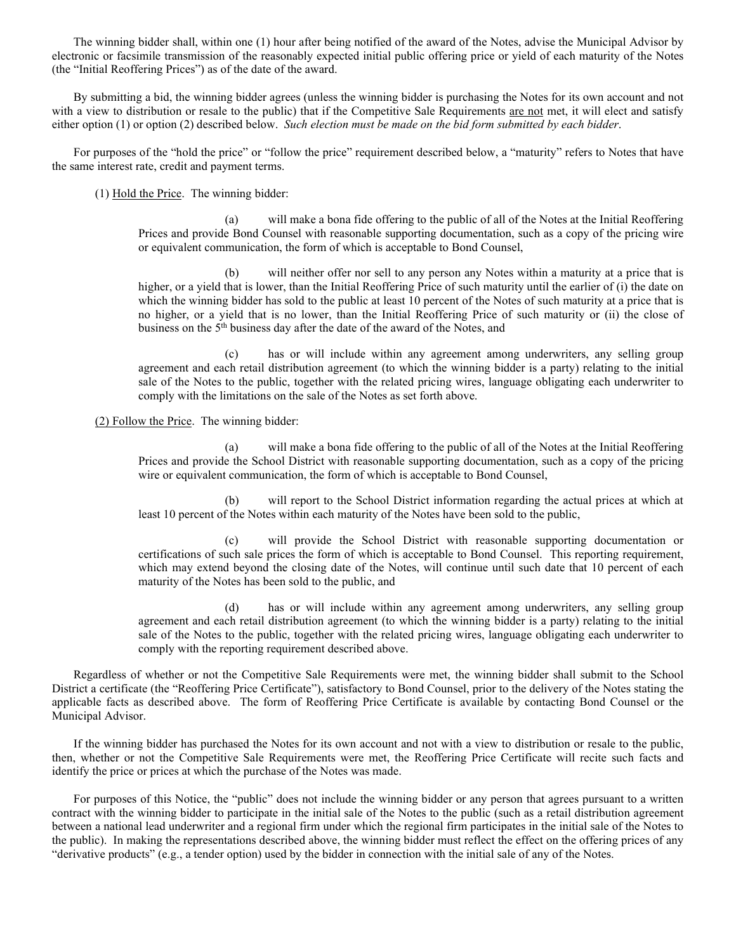The winning bidder shall, within one (1) hour after being notified of the award of the Notes, advise the Municipal Advisor by electronic or facsimile transmission of the reasonably expected initial public offering price or yield of each maturity of the Notes (the "Initial Reoffering Prices") as of the date of the award.

By submitting a bid, the winning bidder agrees (unless the winning bidder is purchasing the Notes for its own account and not with a view to distribution or resale to the public) that if the Competitive Sale Requirements are not met, it will elect and satisfy either option (1) or option (2) described below. *Such election must be made on the bid form submitted by each bidder*.

For purposes of the "hold the price" or "follow the price" requirement described below, a "maturity" refers to Notes that have the same interest rate, credit and payment terms.

(1) Hold the Price. The winning bidder:

(a) will make a bona fide offering to the public of all of the Notes at the Initial Reoffering Prices and provide Bond Counsel with reasonable supporting documentation, such as a copy of the pricing wire or equivalent communication, the form of which is acceptable to Bond Counsel,

(b) will neither offer nor sell to any person any Notes within a maturity at a price that is higher, or a yield that is lower, than the Initial Reoffering Price of such maturity until the earlier of (i) the date on which the winning bidder has sold to the public at least 10 percent of the Notes of such maturity at a price that is no higher, or a yield that is no lower, than the Initial Reoffering Price of such maturity or (ii) the close of business on the 5<sup>th</sup> business day after the date of the award of the Notes, and

(c) has or will include within any agreement among underwriters, any selling group agreement and each retail distribution agreement (to which the winning bidder is a party) relating to the initial sale of the Notes to the public, together with the related pricing wires, language obligating each underwriter to comply with the limitations on the sale of the Notes as set forth above.

(2) Follow the Price. The winning bidder:

(a) will make a bona fide offering to the public of all of the Notes at the Initial Reoffering Prices and provide the School District with reasonable supporting documentation, such as a copy of the pricing wire or equivalent communication, the form of which is acceptable to Bond Counsel,

(b) will report to the School District information regarding the actual prices at which at least 10 percent of the Notes within each maturity of the Notes have been sold to the public,

(c) will provide the School District with reasonable supporting documentation or certifications of such sale prices the form of which is acceptable to Bond Counsel. This reporting requirement, which may extend beyond the closing date of the Notes, will continue until such date that 10 percent of each maturity of the Notes has been sold to the public, and

(d) has or will include within any agreement among underwriters, any selling group agreement and each retail distribution agreement (to which the winning bidder is a party) relating to the initial sale of the Notes to the public, together with the related pricing wires, language obligating each underwriter to comply with the reporting requirement described above.

Regardless of whether or not the Competitive Sale Requirements were met, the winning bidder shall submit to the School District a certificate (the "Reoffering Price Certificate"), satisfactory to Bond Counsel, prior to the delivery of the Notes stating the applicable facts as described above. The form of Reoffering Price Certificate is available by contacting Bond Counsel or the Municipal Advisor.

If the winning bidder has purchased the Notes for its own account and not with a view to distribution or resale to the public, then, whether or not the Competitive Sale Requirements were met, the Reoffering Price Certificate will recite such facts and identify the price or prices at which the purchase of the Notes was made.

For purposes of this Notice, the "public" does not include the winning bidder or any person that agrees pursuant to a written contract with the winning bidder to participate in the initial sale of the Notes to the public (such as a retail distribution agreement between a national lead underwriter and a regional firm under which the regional firm participates in the initial sale of the Notes to the public). In making the representations described above, the winning bidder must reflect the effect on the offering prices of any "derivative products" (e.g., a tender option) used by the bidder in connection with the initial sale of any of the Notes.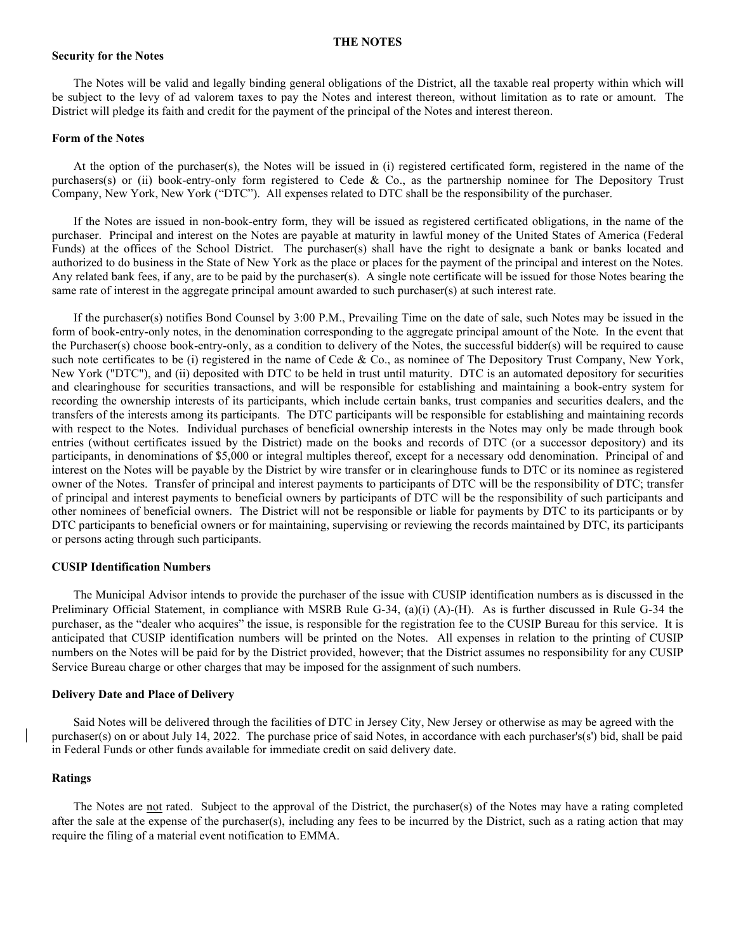### **THE NOTES**

#### **Security for the Notes**

The Notes will be valid and legally binding general obligations of the District, all the taxable real property within which will be subject to the levy of ad valorem taxes to pay the Notes and interest thereon, without limitation as to rate or amount. The District will pledge its faith and credit for the payment of the principal of the Notes and interest thereon.

# **Form of the Notes**

At the option of the purchaser(s), the Notes will be issued in (i) registered certificated form, registered in the name of the purchasers(s) or (ii) book-entry-only form registered to Cede & Co., as the partnership nominee for The Depository Trust Company, New York, New York ("DTC"). All expenses related to DTC shall be the responsibility of the purchaser.

If the Notes are issued in non-book-entry form, they will be issued as registered certificated obligations, in the name of the purchaser. Principal and interest on the Notes are payable at maturity in lawful money of the United States of America (Federal Funds) at the offices of the School District. The purchaser(s) shall have the right to designate a bank or banks located and authorized to do business in the State of New York as the place or places for the payment of the principal and interest on the Notes. Any related bank fees, if any, are to be paid by the purchaser(s). A single note certificate will be issued for those Notes bearing the same rate of interest in the aggregate principal amount awarded to such purchaser(s) at such interest rate.

If the purchaser(s) notifies Bond Counsel by 3:00 P.M., Prevailing Time on the date of sale, such Notes may be issued in the form of book-entry-only notes, in the denomination corresponding to the aggregate principal amount of the Note. In the event that the Purchaser(s) choose book-entry-only, as a condition to delivery of the Notes, the successful bidder(s) will be required to cause such note certificates to be (i) registered in the name of Cede & Co., as nominee of The Depository Trust Company, New York, New York ("DTC"), and (ii) deposited with DTC to be held in trust until maturity. DTC is an automated depository for securities and clearinghouse for securities transactions, and will be responsible for establishing and maintaining a book-entry system for recording the ownership interests of its participants, which include certain banks, trust companies and securities dealers, and the transfers of the interests among its participants. The DTC participants will be responsible for establishing and maintaining records with respect to the Notes. Individual purchases of beneficial ownership interests in the Notes may only be made through book entries (without certificates issued by the District) made on the books and records of DTC (or a successor depository) and its participants, in denominations of \$5,000 or integral multiples thereof, except for a necessary odd denomination. Principal of and interest on the Notes will be payable by the District by wire transfer or in clearinghouse funds to DTC or its nominee as registered owner of the Notes. Transfer of principal and interest payments to participants of DTC will be the responsibility of DTC; transfer of principal and interest payments to beneficial owners by participants of DTC will be the responsibility of such participants and other nominees of beneficial owners. The District will not be responsible or liable for payments by DTC to its participants or by DTC participants to beneficial owners or for maintaining, supervising or reviewing the records maintained by DTC, its participants or persons acting through such participants.

#### **CUSIP Identification Numbers**

The Municipal Advisor intends to provide the purchaser of the issue with CUSIP identification numbers as is discussed in the Preliminary Official Statement, in compliance with MSRB Rule G-34, (a)(i) (A)-(H). As is further discussed in Rule G-34 the purchaser, as the "dealer who acquires" the issue, is responsible for the registration fee to the CUSIP Bureau for this service. It is anticipated that CUSIP identification numbers will be printed on the Notes. All expenses in relation to the printing of CUSIP numbers on the Notes will be paid for by the District provided, however; that the District assumes no responsibility for any CUSIP Service Bureau charge or other charges that may be imposed for the assignment of such numbers.

# **Delivery Date and Place of Delivery**

Said Notes will be delivered through the facilities of DTC in Jersey City, New Jersey or otherwise as may be agreed with the purchaser(s) on or about July 14, 2022. The purchase price of said Notes, in accordance with each purchaser's(s') bid, shall be paid in Federal Funds or other funds available for immediate credit on said delivery date.

# **Ratings**

The Notes are not rated. Subject to the approval of the District, the purchaser(s) of the Notes may have a rating completed after the sale at the expense of the purchaser(s), including any fees to be incurred by the District, such as a rating action that may require the filing of a material event notification to EMMA.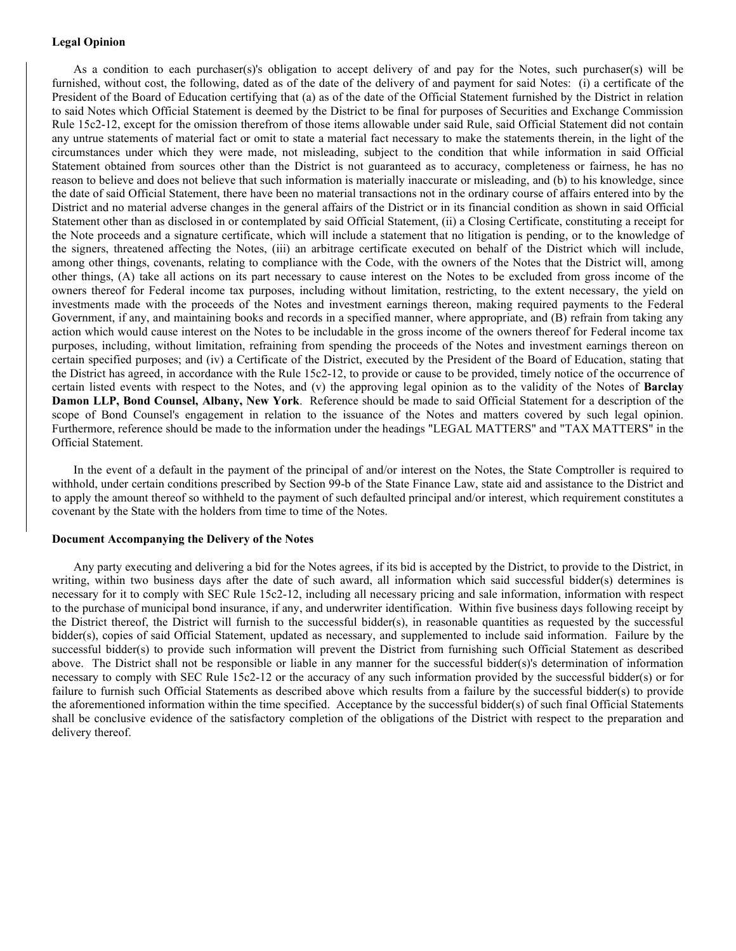# **Legal Opinion**

As a condition to each purchaser(s)'s obligation to accept delivery of and pay for the Notes, such purchaser(s) will be furnished, without cost, the following, dated as of the date of the delivery of and payment for said Notes: (i) a certificate of the President of the Board of Education certifying that (a) as of the date of the Official Statement furnished by the District in relation to said Notes which Official Statement is deemed by the District to be final for purposes of Securities and Exchange Commission Rule 15c2-12, except for the omission therefrom of those items allowable under said Rule, said Official Statement did not contain any untrue statements of material fact or omit to state a material fact necessary to make the statements therein, in the light of the circumstances under which they were made, not misleading, subject to the condition that while information in said Official Statement obtained from sources other than the District is not guaranteed as to accuracy, completeness or fairness, he has no reason to believe and does not believe that such information is materially inaccurate or misleading, and (b) to his knowledge, since the date of said Official Statement, there have been no material transactions not in the ordinary course of affairs entered into by the District and no material adverse changes in the general affairs of the District or in its financial condition as shown in said Official Statement other than as disclosed in or contemplated by said Official Statement, (ii) a Closing Certificate, constituting a receipt for the Note proceeds and a signature certificate, which will include a statement that no litigation is pending, or to the knowledge of the signers, threatened affecting the Notes, (iii) an arbitrage certificate executed on behalf of the District which will include, among other things, covenants, relating to compliance with the Code, with the owners of the Notes that the District will, among other things, (A) take all actions on its part necessary to cause interest on the Notes to be excluded from gross income of the owners thereof for Federal income tax purposes, including without limitation, restricting, to the extent necessary, the yield on investments made with the proceeds of the Notes and investment earnings thereon, making required payments to the Federal Government, if any, and maintaining books and records in a specified manner, where appropriate, and (B) refrain from taking any action which would cause interest on the Notes to be includable in the gross income of the owners thereof for Federal income tax purposes, including, without limitation, refraining from spending the proceeds of the Notes and investment earnings thereon on certain specified purposes; and (iv) a Certificate of the District, executed by the President of the Board of Education, stating that the District has agreed, in accordance with the Rule 15c2-12, to provide or cause to be provided, timely notice of the occurrence of certain listed events with respect to the Notes, and (v) the approving legal opinion as to the validity of the Notes of **Barclay Damon LLP, Bond Counsel, Albany, New York**. Reference should be made to said Official Statement for a description of the scope of Bond Counsel's engagement in relation to the issuance of the Notes and matters covered by such legal opinion. Furthermore, reference should be made to the information under the headings "LEGAL MATTERS" and "TAX MATTERS" in the Official Statement.

In the event of a default in the payment of the principal of and/or interest on the Notes, the State Comptroller is required to withhold, under certain conditions prescribed by Section 99-b of the State Finance Law, state aid and assistance to the District and to apply the amount thereof so withheld to the payment of such defaulted principal and/or interest, which requirement constitutes a covenant by the State with the holders from time to time of the Notes.

#### **Document Accompanying the Delivery of the Notes**

Any party executing and delivering a bid for the Notes agrees, if its bid is accepted by the District, to provide to the District, in writing, within two business days after the date of such award, all information which said successful bidder(s) determines is necessary for it to comply with SEC Rule 15c2-12, including all necessary pricing and sale information, information with respect to the purchase of municipal bond insurance, if any, and underwriter identification. Within five business days following receipt by the District thereof, the District will furnish to the successful bidder(s), in reasonable quantities as requested by the successful bidder(s), copies of said Official Statement, updated as necessary, and supplemented to include said information. Failure by the successful bidder(s) to provide such information will prevent the District from furnishing such Official Statement as described above. The District shall not be responsible or liable in any manner for the successful bidder(s)'s determination of information necessary to comply with SEC Rule 15c2-12 or the accuracy of any such information provided by the successful bidder(s) or for failure to furnish such Official Statements as described above which results from a failure by the successful bidder(s) to provide the aforementioned information within the time specified. Acceptance by the successful bidder(s) of such final Official Statements shall be conclusive evidence of the satisfactory completion of the obligations of the District with respect to the preparation and delivery thereof.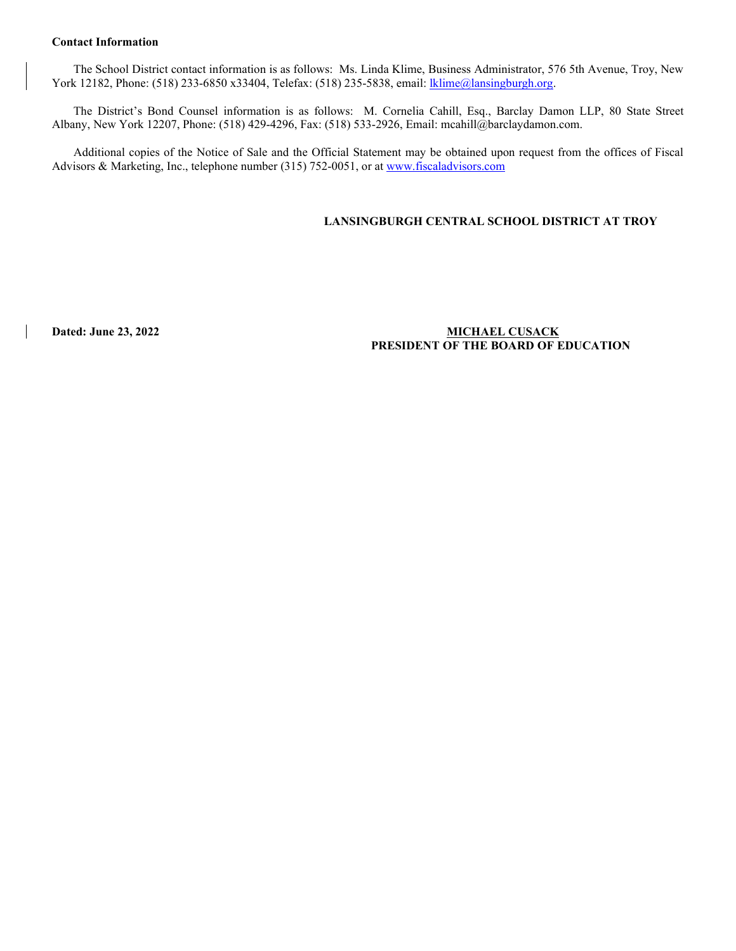# **Contact Information**

The School District contact information is as follows: Ms. Linda Klime, Business Administrator, 576 5th Avenue, Troy, New York 12182, Phone: (518) 233-6850 x33404, Telefax: (518) 235-5838, email: *lklime@lansingburgh.org.* 

The District's Bond Counsel information is as follows: M. Cornelia Cahill, Esq., Barclay Damon LLP, 80 State Street Albany, New York 12207, Phone: (518) 429-4296, Fax: (518) 533-2926, Email: [mcahill@barclaydamon.com.](mailto:mcahill@barclaydamon.com)

Additional copies of the Notice of Sale and the Official Statement may be obtained upon request from the offices of Fiscal Advisors & Marketing, Inc., telephone number (315) 752-0051, or a[t www.fiscaladvisors.com](http://www.fiscaladvisors.com/)

# **LANSINGBURGH CENTRAL SCHOOL DISTRICT AT TROY**

# **Dated: June 23, 2022 MICHAEL CUSACK PRESIDENT OF THE BOARD OF EDUCATION**